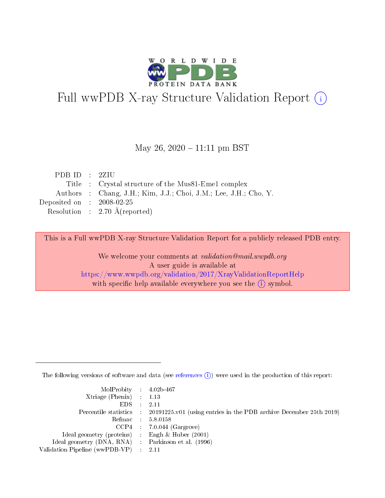

# Full wwPDB X-ray Structure Validation Report (i)

### May 26,  $2020 - 11:11$  pm BST

| PDB ID : $2ZIU$             |                                                                  |
|-----------------------------|------------------------------------------------------------------|
|                             | Title : Crystal structure of the Mus81-Eme1 complex              |
|                             | Authors : Chang, J.H.; Kim, J.J.; Choi, J.M.; Lee, J.H.; Cho, Y. |
| Deposited on : $2008-02-25$ |                                                                  |
|                             | Resolution : $2.70 \text{ Å}$ (reported)                         |

This is a Full wwPDB X-ray Structure Validation Report for a publicly released PDB entry.

We welcome your comments at validation@mail.wwpdb.org A user guide is available at <https://www.wwpdb.org/validation/2017/XrayValidationReportHelp> with specific help available everywhere you see the  $(i)$  symbol.

The following versions of software and data (see [references](https://www.wwpdb.org/validation/2017/XrayValidationReportHelp#references)  $(i)$ ) were used in the production of this report:

| MolProbity : 4.02b-467                              |                                                                                            |
|-----------------------------------------------------|--------------------------------------------------------------------------------------------|
| $Xtriangle (Phenix)$ : 1.13                         |                                                                                            |
| $EDS = 2.11$                                        |                                                                                            |
|                                                     | Percentile statistics : 20191225.v01 (using entries in the PDB archive December 25th 2019) |
|                                                     | Refmac : 5.8.0158                                                                          |
|                                                     | $CCP4$ : 7.0.044 (Gargrove)                                                                |
| Ideal geometry (proteins) : Engh $\&$ Huber (2001)  |                                                                                            |
| Ideal geometry (DNA, RNA) : Parkinson et al. (1996) |                                                                                            |
| Validation Pipeline (wwPDB-VP) : 2.11               |                                                                                            |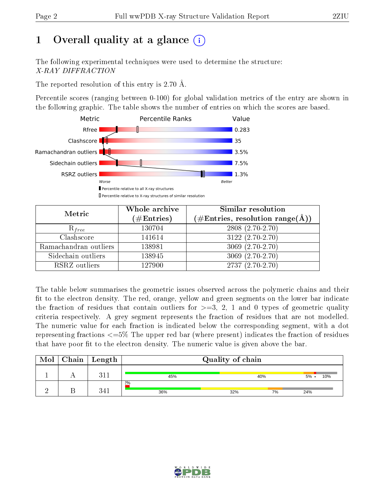# 1 [O](https://www.wwpdb.org/validation/2017/XrayValidationReportHelp#overall_quality)verall quality at a glance  $(i)$

The following experimental techniques were used to determine the structure: X-RAY DIFFRACTION

The reported resolution of this entry is 2.70 Å.

Percentile scores (ranging between 0-100) for global validation metrics of the entry are shown in the following graphic. The table shows the number of entries on which the scores are based.



| Metric                | Whole archive<br>$(\#\mathrm{Entries})$ | Similar resolution<br>$(\#\text{Entries},\, \text{resolution}\; \text{range}(\textup{\AA}))$ |
|-----------------------|-----------------------------------------|----------------------------------------------------------------------------------------------|
| $R_{free}$            | 130704                                  | 2808 (2.70-2.70)                                                                             |
| Clashscore            | 141614                                  | $3122(2.70-2.70)$                                                                            |
| Ramachandran outliers | 138981                                  | $3069(2.70-2.70)$                                                                            |
| Sidechain outliers    | 138945                                  | $3069(2.70-2.70)$                                                                            |
| RSRZ outliers         | 127900                                  | $2737(2.70-2.70)$                                                                            |

The table below summarises the geometric issues observed across the polymeric chains and their fit to the electron density. The red, orange, yellow and green segments on the lower bar indicate the fraction of residues that contain outliers for  $>=3, 2, 1$  and 0 types of geometric quality criteria respectively. A grey segment represents the fraction of residues that are not modelled. The numeric value for each fraction is indicated below the corresponding segment, with a dot representing fractions <=5% The upper red bar (where present) indicates the fraction of residues that have poor fit to the electron density. The numeric value is given above the bar.

| Mol | $Chain$ Length | Quality of chain |     |    |                |  |  |
|-----|----------------|------------------|-----|----|----------------|--|--|
|     | 911<br>9 L .   | 45%              | 40% |    | $5\%$ .<br>10% |  |  |
|     | ດ <i>1</i> 1   | $2\%$<br>36%     | 32% | 7% | 24%            |  |  |

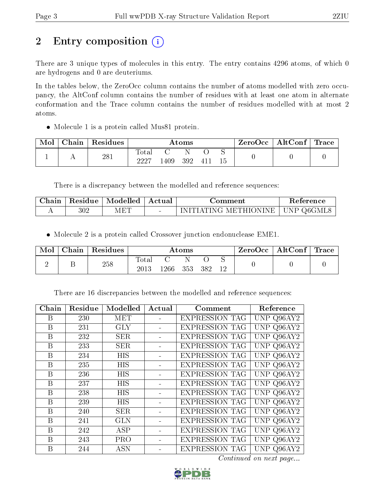# 2 Entry composition (i)

There are 3 unique types of molecules in this entry. The entry contains 4296 atoms, of which 0 are hydrogens and 0 are deuteriums.

In the tables below, the ZeroOcc column contains the number of atoms modelled with zero occupancy, the AltConf column contains the number of residues with at least one atom in alternate conformation and the Trace column contains the number of residues modelled with at most 2 atoms.

Molecule 1 is a protein called Mus81 protein.

| Mol | Chain | $\vert$ Residues | $\rm{Atoms}$           |     |     |               | $\text{ZeroOcc} \mid \text{AltConf} \mid \text{Trace}$ |  |  |
|-----|-------|------------------|------------------------|-----|-----|---------------|--------------------------------------------------------|--|--|
|     |       | 281              | $_{\rm Total}$<br>9997 | 409 | 392 | $-41^{\circ}$ |                                                        |  |  |

There is a discrepancy between the modelled and reference sequences:

| Chain | $\mid$ Residue $\mid$ Modelled $\mid$ | ∣ Actual | ⊆omment                            | Reference |
|-------|---------------------------------------|----------|------------------------------------|-----------|
|       |                                       |          | INITIATING METHIONINE   UNP Q6GML8 |           |

Molecule 2 is a protein called Crossover junction endonuclease EME1.

| Mol | Chain | $\mathsf{Residues}$ | Atoms         |          |  |     | ZeroOcc | $\mid$ AltConf $\mid$ Trace $\mid$ |  |  |
|-----|-------|---------------------|---------------|----------|--|-----|---------|------------------------------------|--|--|
|     |       | 258                 | Total<br>2013 | 1266 353 |  | 382 |         |                                    |  |  |

There are 16 discrepancies between the modelled and reference sequences:

| Chain | Residue | Modelled   | Actual | Comment               | Reference            |
|-------|---------|------------|--------|-----------------------|----------------------|
| B     | 230     | MET        |        | <b>EXPRESSION TAG</b> | UNP Q96AY2           |
| B     | 231     | <b>GLY</b> |        | <b>EXPRESSION TAG</b> | UNP Q96AY2           |
| B     | 232     | <b>SER</b> |        | <b>EXPRESSION TAG</b> | Q96AY2<br>UNP        |
| B     | 233     | <b>SER</b> |        | <b>EXPRESSION TAG</b> | Q96AY2<br>UNP        |
| B     | 234     | HIS        |        | <b>EXPRESSION TAG</b> | UNP Q96AY2           |
| B     | 235     | <b>HIS</b> |        | <b>EXPRESSION TAG</b> | Q96AY2<br><b>UNP</b> |
| B     | 236     | HIS        |        | <b>EXPRESSION TAG</b> | Q96AY2<br>UNP        |
| B     | 237     | HIS        |        | <b>EXPRESSION TAG</b> | UNP Q96AY2           |
| B     | 238     | HIS        |        | <b>EXPRESSION TAG</b> | Q96AY2<br>UNP        |
| B     | 239     | <b>HIS</b> |        | <b>EXPRESSION TAG</b> | Q96AY2<br>UNP        |
| B     | 240     | <b>SER</b> |        | <b>EXPRESSION TAG</b> | UNP Q96AY2           |
| B     | 241     | <b>GLN</b> |        | <b>EXPRESSION TAG</b> | Q96AY2<br>UNP        |
| B     | 242     | <b>ASP</b> |        | <b>EXPRESSION TAG</b> | Q96AY2<br><b>UNP</b> |
| B     | 243     | <b>PRO</b> |        | <b>EXPRESSION TAG</b> | Q96AY2<br>UNP        |
| B     | 244     | <b>ASN</b> |        | <b>EXPRESSION TAG</b> | Q96AY2<br>UNP        |

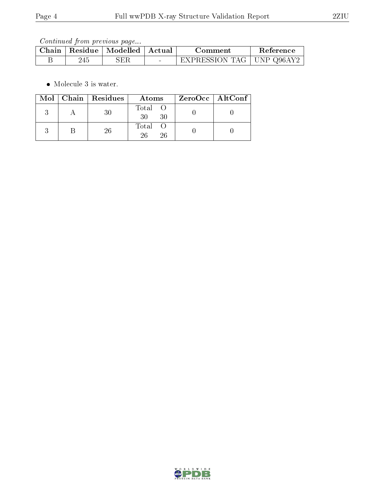| Chain | Residue   Modelled   Actual |        | Comment                     | Reference |
|-------|-----------------------------|--------|-----------------------------|-----------|
|       |                             | $\sim$ | EXPRESSION TAG   UNP Q96AY2 |           |

 $\bullet\,$  Molecule 3 is water.

|  | Mol   Chain   Residues | Atoms               | ZeroOcc   AltConf |
|--|------------------------|---------------------|-------------------|
|  | 30                     | Total O<br>30<br>30 |                   |
|  | 26                     | Total O<br>26<br>26 |                   |

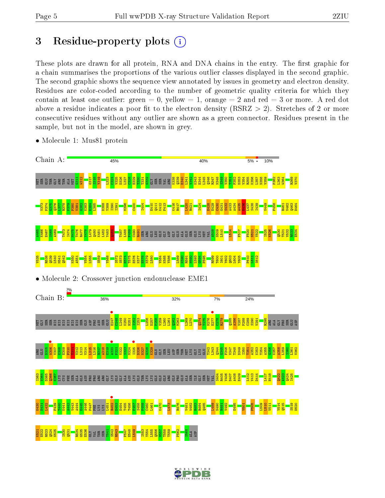# 3 Residue-property plots  $(i)$

These plots are drawn for all protein, RNA and DNA chains in the entry. The first graphic for a chain summarises the proportions of the various outlier classes displayed in the second graphic. The second graphic shows the sequence view annotated by issues in geometry and electron density. Residues are color-coded according to the number of geometric quality criteria for which they contain at least one outlier: green  $= 0$ , yellow  $= 1$ , orange  $= 2$  and red  $= 3$  or more. A red dot above a residue indicates a poor fit to the electron density (RSRZ  $> 2$ ). Stretches of 2 or more consecutive residues without any outlier are shown as a green connector. Residues present in the sample, but not in the model, are shown in grey.



• Molecule 1: Mus81 protein

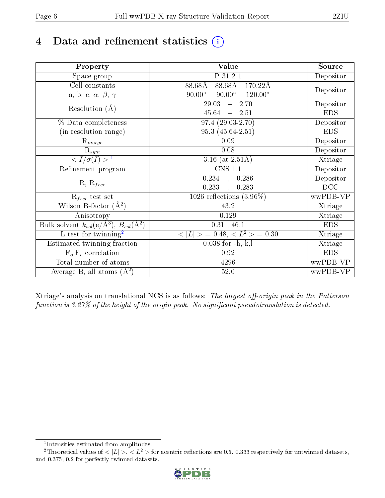# 4 Data and refinement statistics  $(i)$

| Property                                                             | Value                                                        | Source                       |
|----------------------------------------------------------------------|--------------------------------------------------------------|------------------------------|
| Space group                                                          | P 31 2 1                                                     | Depositor                    |
| Cell constants                                                       | $88.68\text{\AA}$<br>$88.68\text{\AA}$<br>$170.22\text{\AA}$ |                              |
| a, b, c, $\alpha$ , $\beta$ , $\gamma$                               | $90.00^\circ$<br>$120.00^{\circ}$<br>$90.00^\circ$           | Depositor                    |
| Resolution $(A)$                                                     | 29.03<br>$-2.70$                                             | Depositor                    |
|                                                                      | $45.64 - 2.51$                                               | <b>EDS</b>                   |
| % Data completeness                                                  | $97.4(29.03-2.70)$                                           | Depositor                    |
| (in resolution range)                                                | $95.3(45.64-2.51)$                                           | <b>EDS</b>                   |
| $R_{merge}$                                                          | 0.09                                                         | Depositor                    |
| $\mathrm{R}_{sym}$                                                   | 0.08                                                         | Depositor                    |
| $\langle I/\sigma(I) \rangle^{-1}$                                   | 3.16 (at $2.51\text{\AA}$ )                                  | Xtriage                      |
| Refinement program                                                   | $\overline{\text{CNS} 1.1}$                                  | Depositor                    |
|                                                                      | $0.234$ ,<br>0.286                                           | Depositor                    |
| $R, R_{free}$                                                        | 0.233<br>0.283                                               | DCC                          |
| $R_{free}$ test set                                                  | 1026 reflections $(3.96\%)$                                  | wwPDB-VP                     |
| Wilson B-factor $(A^2)$                                              | 43.2                                                         | Xtriage                      |
| Anisotropy                                                           | 0.129                                                        | Xtriage                      |
| Bulk solvent $k_{sol}(e/\mathring{A}^3)$ , $B_{sol}(\mathring{A}^2)$ | $0.31$ , 46.1                                                | <b>EDS</b>                   |
| $L$ -test for twinning <sup>2</sup>                                  | $< L >$ = 0.48, $< L2 >$ = 0.30                              | $\overline{\text{X}}$ triage |
| Estimated twinning fraction                                          | $0.038$ for $-h,-k,l$                                        | Xtriage                      |
| $F_o, F_c$ correlation                                               | 0.92                                                         | <b>EDS</b>                   |
| Total number of atoms                                                | 4296                                                         | wwPDB-VP                     |
| Average B, all atoms $(A^2)$                                         | 52.0                                                         | wwPDB-VP                     |

Xtriage's analysis on translational NCS is as follows: The largest off-origin peak in the Patterson function is  $3.27\%$  of the height of the origin peak. No significant pseudotranslation is detected.

<sup>&</sup>lt;sup>2</sup>Theoretical values of  $\langle |L| \rangle$ ,  $\langle L^2 \rangle$  for acentric reflections are 0.5, 0.333 respectively for untwinned datasets, and 0.375, 0.2 for perfectly twinned datasets.



<span id="page-5-1"></span><span id="page-5-0"></span><sup>1</sup> Intensities estimated from amplitudes.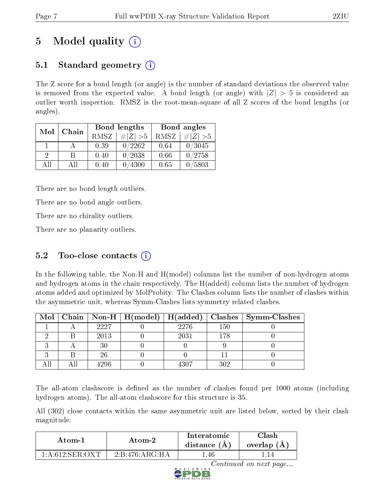# 5 Model quality  $(i)$

# 5.1 Standard geometry  $\overline{()}$

The Z score for a bond length (or angle) is the number of standard deviations the observed value is removed from the expected value. A bond length (or angle) with  $|Z| > 5$  is considered an outlier worth inspection. RMSZ is the root-mean-square of all Z scores of the bond lengths (or angles).

| Mol           | Chain |      | Bond lengths                 | Bond angles |             |  |
|---------------|-------|------|------------------------------|-------------|-------------|--|
|               |       | RMSZ | $\vert \# \vert Z \vert > 5$ | RMSZ        | $\ Z\  > 5$ |  |
| $\mathbf{1}$  |       | 0.39 | 0/2262                       | 0.64        | 0/3045      |  |
| $\mathcal{D}$ | В     | 0.40 | 0/2038                       | 0.66        | 0/2758      |  |
| AH            | Αll   | 0.40 | 0/4300                       | 0.65        | 0/5803      |  |

There are no bond length outliers.

There are no bond angle outliers.

There are no chirality outliers.

There are no planarity outliers.

# $5.2$  Too-close contacts  $(i)$

In the following table, the Non-H and H(model) columns list the number of non-hydrogen atoms and hydrogen atoms in the chain respectively. The H(added) column lists the number of hydrogen atoms added and optimized by MolProbity. The Clashes column lists the number of clashes within the asymmetric unit, whereas Symm-Clashes lists symmetry related clashes.

|  |      |      |     | Mol   Chain   Non-H   H(model)   H(added)   Clashes   Symm-Clashes |
|--|------|------|-----|--------------------------------------------------------------------|
|  | 2227 | 2276 | 150 |                                                                    |
|  | 2013 | 2031 | 178 |                                                                    |
|  | 30   |      |     |                                                                    |
|  | 26   |      |     |                                                                    |
|  | 4296 | 4307 | 302 |                                                                    |

The all-atom clashscore is defined as the number of clashes found per 1000 atoms (including hydrogen atoms). The all-atom clashscore for this structure is 35.

All (302) close contacts within the same asymmetric unit are listed below, sorted by their clash magnitude.

| Atom-1             | Atom-2           | Interatomic<br>distance $(A)$ | Clash<br>overlap $(A)$ |
|--------------------|------------------|-------------------------------|------------------------|
| $1: A:612$ SER OXT | $2:B:476:AR\\HA$ | .46                           |                        |

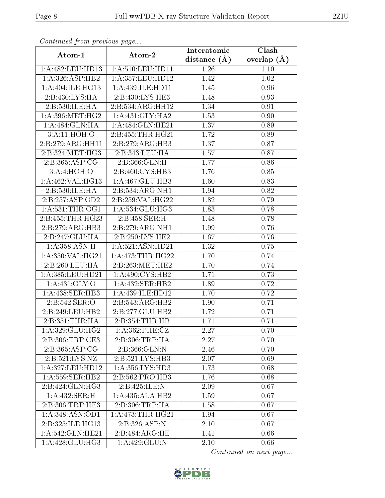| Communa from previous page              |                              | Interatomic      | Clash         |
|-----------------------------------------|------------------------------|------------------|---------------|
| Atom-1                                  | Atom-2                       | distance $(\AA)$ | overlap $(A)$ |
| 1:A:482:LEU:HD13                        | 1: A:510: LEU: HD11          | 1.26             | 1.10          |
| 1: A:326: ASP:HB2                       | 1: A: 357: LEU: HD12         | 1.42             | 1.02          |
| 1:A:404:ILE:HG13                        | 1:A:439:ILE:HD11             | 1.45             | 0.96          |
| 2:B:430:LYS:HA                          | 2:B:430:LYS:HE3              | 1.48             | 0.93          |
| 2:B:530:ILE:HA                          | 2:B:534:ARG:HH12             | 1.34             | 0.91          |
| 1: A:396:MET:HG2                        | 1:A:431:GLY:HA2              | 1.53             | 0.90          |
| 1:A:484:GLN:HA                          | 1:A:484:GLN:HE21             | 1.37             | 0.89          |
| 3:A:11:HOH:O                            | 2:B:455:THR:HG21             | 1.72             | 0.89          |
| 2:B:279:ARG:HH11                        | 2:B:279:ARG:HB3              | 1.37             | 0.87          |
| 2:B:324:MET:HG3                         | 2:B:343:LEU:HA               | 1.57             | 0.87          |
| 2:B:365:ASP:CG                          | 2:B:366:GLN:H                | 1.77             | 0.86          |
| 3:A:4:HOH:O                             | $2:B:460:CYS:\overline{HB3}$ | 1.76             | 0.85          |
| 1:A:462:VAL:HG13                        | 1:A:467:GLU:HB3              | 1.60             | 0.83          |
| 2:B:530:ILE:HA                          | 2:B:534:ARG:NH1              | 1.94             | 0.82          |
| 2:B:257:ASP:OD2                         | 2:B:259:VAL:HG22             | 1.82             | 0.79          |
| $1:\overline{A}:531:\overline{THR}:OG1$ | 1: A: 534: GLU: HG3          | 1.83             | 0.78          |
| 2:B:455:THR:HG23                        | 2: B: 458: SER:H             | 1.48             | 0.78          |
| 2:B:279:ARG:HB3                         | 2:B:279:ARG:NH1              | 1.99             | 0.76          |
| 2:B:247:GLU:HA                          | 2:B:250:LYS:HE2              | 1.67             | 0.76          |
| 1:A:358:ASN:H                           | 1: A:521: ASN:HD21           | 1.32             | 0.75          |
| 1:A:350:VAL:HG21                        | 1: A:473:THR:HG22            | 1.70             | 0.74          |
| 2: B:260:LEU:HA                         | 2:B:263:MET:HE2              | 1.70             | 0.74          |
| 1:A:385:LEU:HD21                        | 1: A:490: CYS:HB2            | 1.71             | 0.73          |
| 1:A:431:GLY:O                           | 1:A:432:SER:HB2              | 1.89             | 0.72          |
| 1: A:438: SER:HB3                       | 1:A:439:ILE:HD12             | 1.70             | 0.72          |
| 2:B:542:SER:O                           | 2:B:543:ARG:HB2              | 1.90             | 0.71          |
| 2:B:249:LEU:HB2                         | 2:B:277:GLU:HB2              | 1.72             | 0.71          |
| 2:B:351:THR:HA                          | 2:B:354:THR:HB               | 1.71             | 0.71          |
| 1:A:329:GLU:HG2                         | 1: A:362:PHE:CZ              | 2.27             | 0.70          |
| 2:B:306:TRP:CE3                         | 2:B:306:TRP:HA               | 2.27             | 0.70          |
| 2:B:365:ASP:CG                          | 2:B:366:GLN:N                | 2.46             | 0.70          |
| 2:B:521:LYS:NZ                          | 2:B:521:LYS:HB3              | 2.07             | 0.69          |
| 1:A:327:LEU:HD12                        | 1: A: 356: LYS: HD3          | 1.73             | 0.68          |
| 1:A:559:SER:HB2                         | 2:B:562:PRO:HB3              | 1.76             | 0.68          |
| 2:B:424:GLN:HG3                         | 2:B:425:ILE:N                | 2.09             | 0.67          |
| 1:A:432:SER:H                           | 1:A:435:ALA:HB2              | 1.59             | 0.67          |
| 2:B:306:TRP:HE3                         | 2:B:306:TRP:HA               | 1.58             | 0.67          |
| 1:A:348:ASN:OD1                         | 1: A:473:THR:HG21            | 1.94             | 0.67          |
| 2:B:325:ILE:HG13                        | 2:B:326:ASP:N                | 2.10             | 0.67          |
| 1:A:542:GLN:HE21                        | 2:B:484:ARG:HE               | 1.41             | 0.66          |
| 1: A:428: GLU:HG3                       | $1:A:429:GL\overline{U:N}$   | 2.10             | 0.66          |

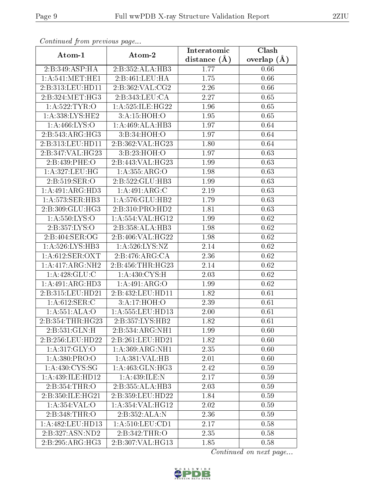| Comunaca jiom previous page          |                      | Interatomic    | Clash             |
|--------------------------------------|----------------------|----------------|-------------------|
| Atom-1                               | Atom-2               | distance $(A)$ | overlap $(A)$     |
| 2:B:349:ASP:HA                       | 2:B:352:ALA:HB3      | 1.77           | 0.66              |
| 1: A:541: MET:HE1                    | 2:B:461:LEU:HA       | 1.75           | 0.66              |
| 2:B:313:LEU:HD11                     | 2:B:362:VAL:CG2      | 2.26           | 0.66              |
| 2:B:324:MET:HG3                      | 2:B:343:LEU:CA       | 2.27           | 0.65              |
| 1: A:522: TYR:O                      | 1:A:525:ILE:HG22     | 1.96           | 0.65              |
| 1:A:338:LYS:HE2                      | 3: A:15: HOH:O       | 1.95           | 0.65              |
| 1: A: 466: LYS:O                     | 1:A:469:ALA:HB3      | 1.97           | 0.64              |
| 2:B:543:ARG:HG3                      | 3:B:34:HOH:O         | 1.97           | 0.64              |
| 2:B:313:LEU:HD11                     | 2:B:362:VAL:HG23     | 1.80           | 0.64              |
| 2:B:347:VAL:HG23                     | 3:B:23:HOH:O         | 1.97           | 0.63              |
| 2:B:439:PHE:O                        | 2:B:443:VAL:HG23     | 1.99           | 0.63              |
| 1:A:327:LEU:HG                       | 1:A:355:ARG:O        | 1.98           | 0.63              |
| 2:B:519:SER:O                        | 2:B:522:GLU:HB3      | 1.99           | 0.63              |
| 1:A:491:ARG:HD3                      | 1:A:491:ARG:C        | 2.19           | 0.63              |
| 1:A:573:SER:HB3                      | 1:A:576:GLU:HB2      | 1.79           | 0.63              |
| 2:B:309:GLU:HG3                      | 2:B:310:PRO:HD2      | 1.81           | 0.63              |
| 1:A:550:LYS:O                        | 1: A: 554: VAL: HG12 | 1.99           | 0.62              |
| 2:B:357:LYS:O                        | 2:B:358:ALA:HB3      | 1.98           | 0.62              |
| $2: B:404: \overline{\text{SER}:OG}$ | 2:B:406:VAL:HG22     | 1.98           | 0.62              |
| 1: A:526: LYS: HB3                   | 1: A:526: LYS: NZ    | 2.14           | 0.62              |
| 1: A:612: SER: OXT                   | 2:B:476:ARG:CA       | 2.36           | 0.62              |
| 1:A:417:ARG:NH2                      | 2:B:456:THR:HG23     | 2.14           | 0.62              |
| $1:A:428:GLU:\overline{C}$           | 1: A:430: CYS:H      | 2.03           | 0.62              |
| 1: A:491: ARG:HD3                    | 1:A:491:ARG:O        | 1.99           | 0.62              |
| 2:B:315:LEU:HD21                     | 2:B:432:LEU:HD11     | 1.82           | 0.61              |
| 1: A:612:SER:C                       | 3:A:17:HOH:O         | 2.39           | $\overline{0.61}$ |
| 1: A:551: ALA:O                      | 1: A: 555: LEU: HD13 | 2.00           | 0.61              |
| 2:B:354:THR:HG23                     | 2:B:357:LYS:HB2      | 1.82           | 0.61              |
| 2:B:531:GLN:H                        | 2:B:534:ARG:NH1      | 1.99           | 0.60              |
| $2:B:256:LEU:HD\overline{22}$        | 2:B:261:LEU:HD21     | 1.82           | 0.60              |
| 1: A:317: GLY:O                      | 1: A:369:ARG:NH1     | 2.35           | 0.60              |
| 1:A:380:PRO:O                        | 1:A:381:VAL:HB       | 2.01           | 0.60              |
| 1: A: 430: CYS: SG                   | 1: A:463: GLN: HG3   | 2.42           | 0.59              |
| 1:A:439:ILE:HD12                     | 1:A:439:ILE:N        | 2.17           | 0.59              |
| 2:B:354:THR:O                        | 2:B:355:ALA:HB3      | 2.03           | 0.59              |
| 2:B:350:ILE:HG21                     | 2:B:359:LEU:HD22     | 1.84           | 0.59              |
| 1: A: 354: VAL: O                    | 1: A: 354: VAL: HG12 | 2.02           | 0.59              |
| 2:B:348:THR:O                        | 2:B:352:ALA:N        | 2.36           | 0.59              |
| 1: A:482:LEU:HD13                    | 1: A:510:LEU:CD1     | 2.17           | 0.58              |
| 2:B:327:ASN:ND2                      | 2: B:342:THR:O       | 2.35           | 0.58              |
| 2:B:295:ARG:HG3                      | 2:B:307:VAL:HG13     | 1.85           | 0.58              |

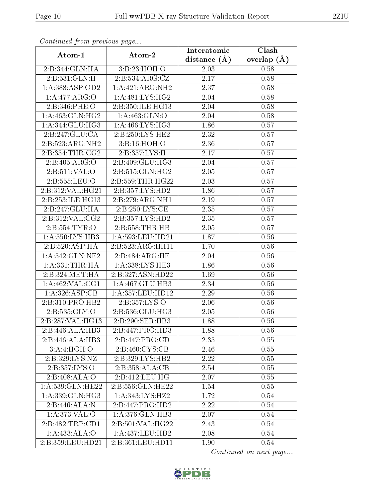| Continuea from previous page<br>Clash<br>Interatomic |                             |                |               |  |
|------------------------------------------------------|-----------------------------|----------------|---------------|--|
| Atom-1                                               | Atom-2                      | distance $(A)$ | overlap $(A)$ |  |
| 2:B:344:GLN:HA                                       | 3:B:23:HOH:O                | 2.03           | 0.58          |  |
| 2:B:531:GLN:H                                        | 2:B:534:ARG:CZ              | 2.17           | 0.58          |  |
| 1:A:388:ASP:OD2                                      | 1:A:421:ARG:NH2             | 2.37           | 0.58          |  |
| 1:A:477:ARG:O                                        | 1: A:481:LYS:HG2            | 2.04           | 0.58          |  |
| 2:B:346:PHE:O                                        | 2:B:350:ILE:HG13            | 2.04           | 0.58          |  |
| 1: A:463: GLN: HG2                                   | 1: A: 463: GLN:O            | 2.04           | 0.58          |  |
| 1:A:344:GLU:HG3                                      | 1: A:466: LYS: HG3          | 1.86           | 0.57          |  |
| 2:B:247:GLU:CA                                       | 2: B:250: LYS: HE2          | 2.32           | 0.57          |  |
| 2:B:523:ARG:NH2                                      | 3:Bi:16:HOH:O               | 2.36           | 0.57          |  |
| 2: B: 354: THR: CG2                                  | 2:B:357:LYS:H               | 2.17           | 0.57          |  |
| 2:B:405:ARG:O                                        | 2:B:409:GLU:HG3             | 2.04           | 0.57          |  |
| 2: B: 511: VAL: O                                    | 2:B:515:GLN:HG2             | 2.05           | 0.57          |  |
| 2:B:555:LEU:O                                        | 2:B:559:THR:HG22            | 2.03           | 0.57          |  |
| 2:B:312:VAL:HG21                                     | 2:B:357:LYS:HD2             | 1.86           | 0.57          |  |
| 2:B:253:ILE:HG13                                     | 2:B:279:ARG:NH1             | 2.19           | 0.57          |  |
| 2:B:247:GLU:HA                                       | 2:B:250:LYS:CE              | 2.35           | 0.57          |  |
| 2:B:312:VAL:CG2                                      | 2:B:357:LYS:HD2             | 2.35           | 0.57          |  |
| 2:B:554:TYR:O                                        | 2:B:558:THR:HB              | 2.05           | 0.57          |  |
| 1: A: 550: LYS: HB3                                  | 1:A:593:LEU:HD21            | 1.87           | 0.56          |  |
| 2:B:520:ASP:HA                                       | 2:5:33:ARG:HH11             | 1.70           | 0.56          |  |
| 1: A:542: GLN:NE2                                    | 2:B:484:ARG:HE              | 2.04           | 0.56          |  |
| 1: A: 331: THR: HA                                   | 1:A:338:LYS:HE3             | 1.86           | 0.56          |  |
| 2:B:324:MET:HA                                       | 2:B:327:ASN:HD22            | 1.69           | 0.56          |  |
| 1: A:462: VAL:CG1                                    | 1:A:467:GLU:HB3             | 2.34           | 0.56          |  |
| 1:A:326:ASP:CB                                       | 1:A:357:LEU:HD12            | 2.29           | 0.56          |  |
| 2:B:310:PRO:HB2                                      | 2:B:357:LYS:O               | 2.06           | 0.56          |  |
| 2:B:535:GLY:O                                        | 2:B:536:GLU:HG3             | 2.05           | 0.56          |  |
| 2:B:287:VAL:HG13                                     | 2:B:290:SER:HB3             | 1.88           | 0.56          |  |
| 2:B:446:ALA:HB3                                      | 2:B:447:PRO:HD3             | 1.88           | 0.56          |  |
| $2:B:446:AL\overline{A:HB3}$                         | 2: B:447: PRO:CD            | 2.35           | 0.55          |  |
| 3:A:4:HOH:O                                          | 2:B:460:CYS:CB              | 2.46           | 0.55          |  |
| 2:B:329:LYS:NZ                                       | 2:B:329:LYS:HB2             | 2.22           | 0.55          |  |
| 2:B:357:LYS:O                                        | $2:B:358:ALA:C\overline{B}$ | 2.54           | 0.55          |  |
| 2:B:408:ALA:O                                        | 2:B:412:LEU:HG              | 2.07           | 0.55          |  |
| 1: A: 539: GLN: HE22                                 | 2:B:556:GLN:HE22            | 1.54           | 0.55          |  |
| 1:A:339:GLN:HG3                                      | 1:A:343:LYS:HZ2             | 1.72           | 0.54          |  |
| 2:B:446:ALA:N                                        | 2:B:447:PRO:HD2             | 2.22           | 0.54          |  |
| 1: A:373: VAL:O                                      | 1:A:376:GLN:HB3             | 2.07           | 0.54          |  |
| 2:B:482:TRP:CD1                                      | 2:5:501:VAL:HG22            | 2.43           | 0.54          |  |
| 1: A:433:ALA:O                                       | 1:A:437:LEU:HB2             | 2.08           | 0.54          |  |
| 2:B:359:LEU:HD21                                     | 2:B:361:LEU:HD11            | 1.90           | 0.54          |  |

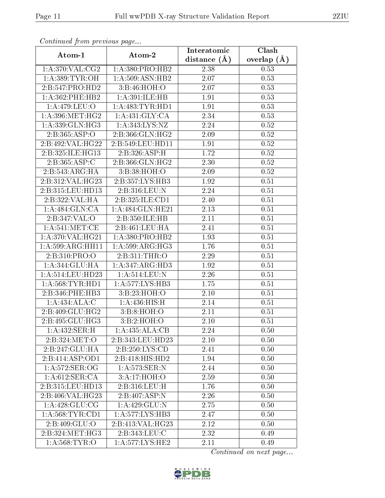| Continuea from previous page<br>Clash<br>Interatomic |                                    |                |               |  |
|------------------------------------------------------|------------------------------------|----------------|---------------|--|
| Atom-1                                               | Atom-2                             | distance $(A)$ | overlap $(A)$ |  |
| 1: A:370: VAL: CG2                                   | 1:A:380:PRO:HB2                    | 2.38           | 0.53          |  |
| 1: A:389: TYR:OH                                     | 1:A:509:ASN:HB2                    | 2.07           | 0.53          |  |
| 2:B:547:PRO:HD2                                      | 3: B:46: HOH:O                     | 2.07           | 0.53          |  |
| $1: A:362:$ PHE:HB2                                  | 1:A:391:ILE:HB                     | 1.91           | 0.53          |  |
| 1: A:479: LEU:O                                      | 1: A: 483: TYR: HD1                | 1.91           | 0.53          |  |
| 1: A:396:MET:HG2                                     | 1: A: 431: GLY: CA                 | 2.34           | 0.53          |  |
| 1:A:339:GLN:HG3                                      | 1: A:343: LYS: NZ                  | 2.24           | 0.52          |  |
| 2: B: 365: ABP:O                                     | 2: B: 366: GLN: HG2                | 2.09           | 0.52          |  |
| 2:B:492:VAL:HG22                                     | 2:B:549:LEU:HD11                   | 1.91           | 0.52          |  |
| 2:B:325:ILE:HG13                                     | 2:B:326:ASP:H                      | 1.72           | 0.52          |  |
| 2:B:365:ASP:C                                        | 2:B:366:GLN:HG2                    | 2.30           | 0.52          |  |
| 2:B:543:ARG:HA                                       | 3:B:38:HOH:O                       | 2.09           | 0.52          |  |
| 2:B:312:VAL:HG23                                     | 2:B:357:LYS:HB3                    | 1.92           | 0.51          |  |
| 2:B:315:LEU:HD13                                     | 2:B:316:LEU:N                      | 2.24           | 0.51          |  |
| 2:B:322:VAL:HA                                       | 2:B:325:ILE:CD1                    | 2.40           | 0.51          |  |
| 1:A:484:GLN:CA                                       | 1:A:484:GLN:HE21                   | 2.13           | 0.51          |  |
| 2:B:347:VAL:O                                        | 2:B:350:ILE:HB                     | 2.11           | 0.51          |  |
| 1: A:541: MET:CE                                     | 2:B:461:LEU:HA                     | 2.41           | 0.51          |  |
| 1:A:370:VAL:HG21                                     | 1:A:380:PRO:HB2                    | 1.93           | 0.51          |  |
| 1:A:599:ARG:HH11                                     | 1: A:599:ARG:HG3                   | 1.76           | 0.51          |  |
| 2:B:310:PRO:O                                        | 2:B:311:THR:O                      | 2.29           | 0.51          |  |
| 1: A:344: GLU: HA                                    | 1:A:347:ARG:HD3                    | 1.92           | 0.51          |  |
| 1:A:514:LEU:HD23                                     | 1:A:514:LEU:N                      | 2.26           | 0.51          |  |
| 1: A:568:TYR:HD1                                     | 1: A: 577: LYS: HB3                | 1.75           | 0.51          |  |
| 2:B:346:PHE:HB3                                      | 3: B:23: HOH:O                     | 2.10           | 0.51          |  |
| 1:A:434:ALA:C                                        | 1: A:436:HIS:H                     | 2.14           | 0.51          |  |
| 2:B:409:GLU:HG2                                      | 3:B:8:HOH:O                        | 2.11           | 0.51          |  |
| 2:B:495:GLU:HG3                                      | 3: B:2: HOH:O                      | 2.10           | 0.51          |  |
| 1: A:432: SER:H                                      | 1:A:435:ALA:CB                     | 2.24           | 0.50          |  |
| 2:B:324:MET:O                                        | 2:B:343:LEU:HD23                   | 2.10           | 0.50          |  |
| 2:B:247:GLU:HA                                       | 2: B:250: LYS:CD                   | 2.41           | 0.50          |  |
| 2:B:414:ASP:OD1                                      | 2:B:418:HIS:HD2                    | 1.94           | 0.50          |  |
| 1: A:572: SER:OG                                     | $1: A:573:\overline{\text{SER}:N}$ | 2.44           | 0.50          |  |
| 1:A:612:SER:CA                                       | 3:A:17:HOH:O                       | 2.59           | 0.50          |  |
| 2:B:315:LEU:HD13                                     | 2:B:316:LEU:H                      | 1.76           | 0.50          |  |
| $2:B:406:\overline{\mathsf{VAL}}:HG23$               | $2:B:\overline{407:ASP:N}$         | 2.26           | 0.50          |  |
| 1: A:428: GLU:CG                                     | 1:A:429:GLU:N                      | 2.75           | 0.50          |  |
| 1: A:568:TYR:CD1                                     | 1:A:577:LYS:HB3                    | 2.47           | 0.50          |  |
| $2: B: 409: GLU: \overline{O}$                       | 2:B:413:VAL:H G23                  | 2.12           | 0.50          |  |
| 2:B:324:MET:HG3                                      | 2:B:343:LEU:C                      | 2.32           | 0.49          |  |
| 1: A:568:TYR:O                                       | 1: A: 577: LYS: HE2                | 2.11           | 0.49          |  |

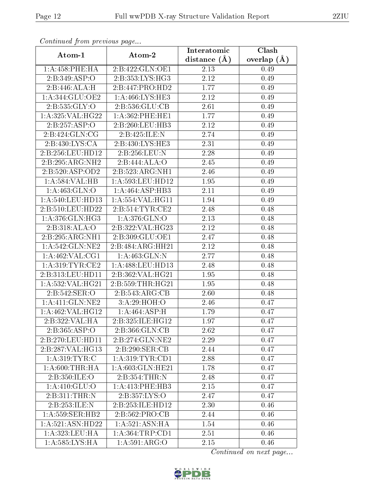| Commuca from previous page |                    | Interatomic    | Clash           |
|----------------------------|--------------------|----------------|-----------------|
| Atom-1                     | Atom-2             | distance $(A)$ | overlap $(\AA)$ |
| 1: A:458:PHE:HA            | 2:B:422:GLN:OE1    | 2.13           | 0.49            |
| 2:B:349:ASP:O              | 2:B:353:LYS:HG3    | 2.12           | 0.49            |
| 2:B:446:ALA:H              | 2:B:447:PRO:HD2    | 1.77           | 0.49            |
| 1:A:344:GLU:OE2            | 1:A:466:LYS:HE3    | 2.12           | 0.49            |
| 2: B: 535: GLY: O          | 2: B: 536: GLU: CB | 2.61           | 0.49            |
| 1:A:325:VAL:HG22           | 1: A:362:PHE:HE1   | 1.77           | 0.49            |
| 2:B:257:ASP:O              | 2:B:260:LEU:HB3    | 2.12           | 0.49            |
| 2:B:424:GLN:CG             | 2:B:425:ILE:N      | 2.74           | 0.49            |
| 2:B:430:LYS:CA             | 2:B:430:LYS:HE3    | 2.31           | 0.49            |
| 2:B:256:LEU:HD12           | 2:B:256:LEU:N      | 2.28           | 0.49            |
| 2:B:295:ARG:NH2            | 2:B:444:ALA:O      | 2.45           | 0.49            |
| 2:B:520:ASP:OD2            | 2:B:523:ARG:NH1    | 2.46           | 0.49            |
| 1:A:584:VAL:HB             | 1:A:593:LEU:HD12   | 1.95           | 0.49            |
| 1: A:463: GLN:O            | 1:A:464:ASP:HB3    | 2.11           | 0.49            |
| 1: A:540:LEU:HD13          | 1:A:554:VAL:HG11   | 1.94           | 0.49            |
| 2:B:510:LEU:HD22           | 2:B:514:TYR:CE2    | 2.48           | 0.48            |
| 1: A:376: GLN: HG3         | 1: A:376: GLN:O    | 2.13           | 0.48            |
| 2:B:318:ALA:O              | 2:B:322:VAL:HG23   | 2.12           | 0.48            |
| 2:B:295:ARG:NH1            | 2:B:309:GLU:OE1    | 2.47           | 0.48            |
| 1: A:542: GLN: NE2         | 2:B:484:ARG:HH21   | 2.12           | 0.48            |
| 1: A:462: VAL:CG1          | 1: A: 463: GLN:N   | 2.77           | 0.48            |
| 1: A:319:TYR:CE2           | 1:A:488:LEU:HD13   | 2.48           | 0.48            |
| 2:B:313:LEU:HD11           | 2:B:362:VAL:HG21   | 1.95           | 0.48            |
| 1:A:532:VAL:HG21           | 2:B:559:THR:HG21   | 1.95           | 0.48            |
| 2:B:542:SER:O              | 2:B:543:ARG:CB     | 2.60           | 0.48            |
| 1: A: 411: GLN: NE2        | 3:A:29:HOH:O       | 2.46           | 0.47            |
| 1:A:462:VAL:HG12           | 1:A:464:ASP:H      | 1.79           | 0.47            |
| 2:B:322:VAL:HA             | 2:B:325:ILE:HG12   | 1.97           | 0.47            |
| 2:B:365:ASP:O              | 2: B:366: GLN:CB   | 2.62           | 0.47            |
| 2:B:270:LEU:HD11           | 2:B:274:GLN:NE2    | 2.29           | 0.47            |
| 2:B:287:VAL:HG13           | 2: B:290: SER: CB  | 2.44           | 0.47            |
| 1: A:319: TYR: C           | 1: A:319: TYR: CD1 | 2.88           | 0.47            |
| 1: A:600:THR:HA            | 1:A:603:GLN:HE21   | 1.78           | 0.47            |
| 2:B:350:ILE:O              | 2:B:354:THR:N      | 2.48           | 0.47            |
| 1: A:410: GLU:O            | 1:A:413:PHE:HB3    | 2.15           | 0.47            |
| 2:B:311:THR:N              | 2:B:357:LYS:O      | 2.47           | 0.47            |
| 2:B:253:ILE:N              | 2:B:253:ILE:HD12   | 2.30           | 0.46            |
| 1: A:559: SER: HB2         | 2:B:562:PRO:CB     | 2.44           | 0.46            |
| 1:A:521:ASN:HD22           | 1:A:521:ASN:HA     | 1.54           | 0.46            |
| 1:A:323:LEU:HA             | 1:A:364:TRP:CD1    | 2.51           | 0.46            |
| 1:A:585:LYS:HA             | 1: A:591: ARG:O    | 2.15           | 0.46            |

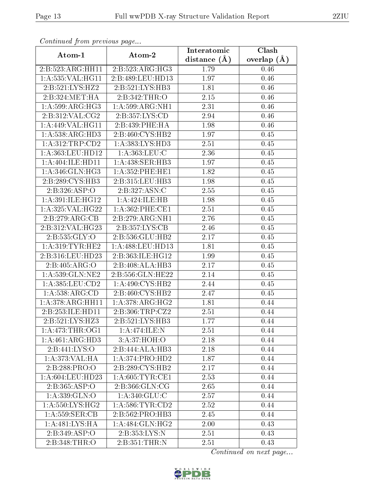| Commaca from previous page<br>Clash<br>Interatomic |                              |                |               |  |  |
|----------------------------------------------------|------------------------------|----------------|---------------|--|--|
| Atom-1                                             | Atom-2                       | distance $(A)$ | overlap $(A)$ |  |  |
| 2:B:523:ARG:HH11                                   | 2:B:523:ARG:HG3              | 1.79           | 0.46          |  |  |
| 1:A:535:VAL:HG11                                   | 2:B:489:LEU:HD13             | 1.97           | 0.46          |  |  |
| 2:B:521:LYS:HZ2                                    | 2:B:521:LYS:HB3              | 1.81           | 0.46          |  |  |
| 2:B:324:MET:HA                                     | 2:B:342:THR:O                | 2.15           | 0.46          |  |  |
| $1:A:599: \overline{\text{ARG:HG3}}$               | 1: A:599:ARG:NH1             | 2.31           | 0.46          |  |  |
| 2:B:312:VAL:CG2                                    | 2:B:357:LYS:CD               | 2.94           | 0.46          |  |  |
| 1:A:449:VAL:HG11                                   | 2:B:439:PHE:HA               | 1.98           | $0.46\,$      |  |  |
| 1: A: 538: ARG: HD3                                | 2:B:460:CYS:HB2              | 1.97           | 0.45          |  |  |
| 1: A:312:TRP:CD2                                   | 1:A:383:LYS:HD3              | 2.51           | 0.45          |  |  |
| 1:A:363:LEU:HD12                                   | 1: A: 363: LEU: C            | 2.36           | 0.45          |  |  |
| 1:A:404:ILE:HD11                                   | 1:A:438:SER:HB3              | 1.97           | 0.45          |  |  |
| 1: A:346: GLN: HG3                                 | 1: A: 352: PHE: HE1          | 1.82           | 0.45          |  |  |
| 2:B:289:CYS:HB3                                    | 2:B:315:LEU:HB3              | 1.98           | 0.45          |  |  |
| $2:B:326:\overline{ASP:O}$                         | 2:B:327:ASN:C                | 2.55           | 0.45          |  |  |
| 1: A:391: ILE: HG12                                | 1:A:424:ILE:HB               | 1.98           | 0.45          |  |  |
| 1: A:325: VAL:HG22                                 | $1:$ A:362:PHE:CE1           | 2.51           | 0.45          |  |  |
| 2:B:279:ARG:CB                                     | 2:B:279:ARG:NH1              | 2.76           | 0.45          |  |  |
| 2:B:312:VAL:HG23                                   | 2:B:357:LYS:CB               | 2.46           | 0.45          |  |  |
| 2:B:535:GLY:O                                      | 2:B:536:GLU:HB2              | 2.17           | 0.45          |  |  |
| 1: A:319: TYR: HE2                                 | 1:A:488:LEU:HD13             | 1.81           | 0.45          |  |  |
| 2:B:316:LEU:HD23                                   | 2:B:363:ILE:HG12             | 1.99           | 0.45          |  |  |
| 2:B:405:ARG:O                                      | 2:B:408:ALA:HB3              | 2.17           | 0.45          |  |  |
| 1:A:539:GLN:NE2                                    | 2:B:556:GLN:HE22             | 2.14           | 0.45          |  |  |
| 1: A: 385: LEU: CD2                                | 1: A:490: CYS:HB2            | 2.44           | 0.45          |  |  |
| 1: A: 538: ARG: CD                                 | 2:B:460:CYS:HB2              | 2.47           | 0.45          |  |  |
| 1:A:378:ARG:HH11                                   | 1: A:378: ARG: HG2           | 1.81           | 0.44          |  |  |
| 2:B:253:ILE:HD11                                   | 2:B:306:TRP:CZ2              | 2.51           | 0.44          |  |  |
| 2:B:521:LYS:HZ3                                    | $2:B:521:LYS:H\overline{B3}$ | 1.77           | 0.44          |  |  |
| 1: A:473:THR:OG1                                   | 1:A:474:ILE:N                | 2.51           | 0.44          |  |  |
| $1:A:461:AR\overline{G:HD3}$                       | 3:A:37:HOH:O                 | 2.18           | 0.44          |  |  |
| 2:B:441:LYS:O                                      | $2:B:444:\overline{ALA:HB3}$ | 2.18           | 0.44          |  |  |
| 1: A:373: VAL:HA                                   | 1:A:374:PRO:HD2              | 1.87           | 0.44          |  |  |
| 2:B:288:PRO:O                                      | 2:B:289:CYS:HB2              | 2.17           | 0.44          |  |  |
| 1: A:604:LEU:HD23                                  | 1: A:605:TYR:CE1             | 2.53           | 0.44          |  |  |
| 2: B: 365: ABP:O                                   | 2:B:366:GLN:CG               | 2.65           | 0.44          |  |  |
| 1: A: 339: GLN:O                                   | 1: A:340: GLU:C              | 2.57           | 0.44          |  |  |
| 1: A:550: LYS: HG2                                 | 1: A:586: TYR:CD2            | 2.52           | 0.44          |  |  |
| 1: A: 559: SER: CB                                 | 2:B:562:PRO:HB3              | 2.45           | 0.44          |  |  |
| 1:A:481:LYS:HA                                     | 1: A:484: GLN: HG2           | 2.00           | 0.43          |  |  |
| 2:B:349:ASP:O                                      | 2:B:353:LYS:N                | 2.51           | 0.43          |  |  |
| 2:B:348:THR:O                                      | 2:B:351:THR:N                | 2.51           | 0.43          |  |  |

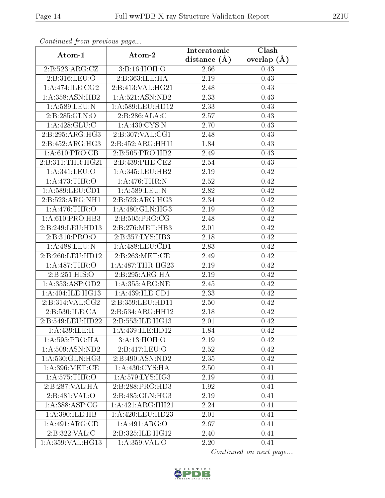| Comunaca jiom previous page |                                | Interatomic    | Clash           |
|-----------------------------|--------------------------------|----------------|-----------------|
| Atom-1                      | Atom-2                         | distance $(A)$ | overlap $(\AA)$ |
| 2:B:523:ARG:CZ              | 3:B:16:HOH:O                   | 2.66           | 0.43            |
| 2:B:316:LEU:O               | 2:B:363:ILE:HA                 | 2.19           | 0.43            |
| 1: A:474: ILE: CG2          | 2:B:413:VAL:HG21               | 2.48           | 0.43            |
| 1: A: 358: ASN: HB2         | 1: A:521: ASN:ND2              | 2.33           | 0.43            |
| 1: A:589:LEU: N             | 1:A:589:LEU:HD12               | 2.33           | 0.43            |
| 2:B:285:GLN:O               | 2: B: 286: ALA: C              | 2.57           | 0.43            |
| 1: A:428: GLU:C             | 1: A: 430: CYS:N               | 2.70           | 0.43            |
| 2:B:295:ARG:HG3             | 2:B:307:VAL:CG1                | 2.48           | 0.43            |
| 2:B:452:ARG:HG3             | $2:B:452: \overline{ARG:HH11}$ | 1.84           | 0.43            |
| 1: A:610: PRO:CB            | 2:B:505:PRO:HB2                | 2.49           | 0.43            |
| 2:B:311:THR:HG21            | 2:B:439:PHE:CE2                | 2.54           | 0.43            |
| 1:A:341:LEU:O               | 1: A:345:LEU:HB2               | 2.19           | 0.42            |
| 1:A:473:THR:O               | 1: A:476:THR:N                 | 2.52           | 0.42            |
| 1: A:589:LEU:CD1            | 1:A:589:LEU:N                  | 2.82           | 0.42            |
| 2:B:523:ARG:NH1             | 2:B:523:ARG:HG3                | 2.34           | 0.42            |
| 1: A:476:THR:O              | 1: A:480: GLN: HG3             | 2.19           | 0.42            |
| 1: A:610: PRO:HB3           | 2:B:505:PRO:CG                 | 2.48           | 0.42            |
| 2:B:249:LEU:HD13            | 2:B:276:MET:HB3                | 2.01           | 0.42            |
| 2:B:310:PRO:O               | $2:B:357:LYS:H\overline{B3}$   | 2.18           | 0.42            |
| 1:A:488:LEU:N               | 1: A:488:LEU:CD1               | 2.83           | 0.42            |
| 2:B:260:LEU:HD12            | 2:B:263:MET:CE                 | 2.49           | 0.42            |
| 1:A:487:THR:O               | 1: A:487:THR:HG23              | 2.19           | 0.42            |
| 2:B:251:HIS:O               | 2:B:295:ARG:HA                 | 2.19           | 0.42            |
| 1: A: 353: ASP: OD2         | 1: A: 355: ARG: NE             | 2.45           | 0.42            |
| 1:A:404:ILE:HG13            | 1: A:439: ILE: CD1             | 2.33           | 0.42            |
| 2:B:314:VAL:CG2             | 2: B: 359: LEU: HD11           | 2.50           | 0.42            |
| 2: B: 530: ILE: CA          | 2:B:534:ARG:HH12               | 2.18           | 0.42            |
| 2:B:549:LEU:HD22            | 2:B:553:ILE:HG13               | 2.01           | 0.42            |
| 1:A:439:ILE:H               | 1:A:439:ILE:HD12               | 1.84           | 0.42            |
| 1:A:595:PRO:HA              | 3:A:13:HOH:O                   | 2.19           | 0.42            |
| 1: A:509: ASN:ND2           | 2:B:417:LEU:O                  | 2.52           | 0.42            |
| 1: A:530: GLN: HG3          | 2:B:490:ASN:ND2                | 2.35           | 0.42            |
| 1: A:396: MET:CE            | 1: A:430: CYS:HA               | 2.50           | 0.41            |
| 1: A:575:THR:O              | 1: A:579: LYS: HG3             | 2.19           | 0.41            |
| 2:B:287:VAL:HA              | 2:B:288:PRO:HD3                | 1.92           | 0.41            |
| 2:B:481:VAL:O               | 2:B:485:GLN:HG3                | 2.19           | 0.41            |
| 1: A: 388: ASP: CG          | 1: A:421:ARG:HH21              | 2.24           | 0.41            |
| 1:A:390:ILE:HB              | 1: A:420: LEU:HD23             | 2.01           | 0.41            |
| 1:A:491:ARG:CD              | 1: A:491: ARG:O                | 2.67           | 0.41            |
| 2:B:322:VAL:C               | 2:B:325:ILE:HG12               | 2.40           | 0.41            |
| 1:A:359:VAL:HG13            | 1: A:359: VAL:O                | 2.20           | 0.41            |

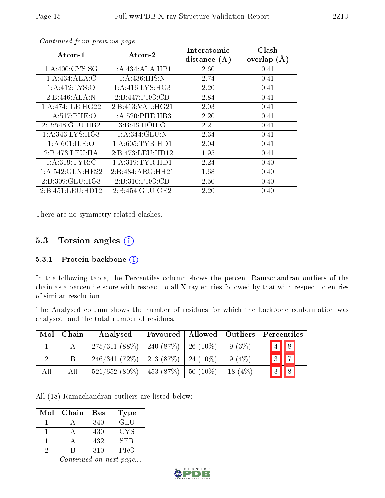| $Atom-1$            | $\boldsymbol{\mathrm{Atom}\text{-}2}$ | Interatomic<br>distance $(A)$ | Clash<br>overlap $(\AA)$ |
|---------------------|---------------------------------------|-------------------------------|--------------------------|
| 1: A:400: CYS:SG    | 1:A:434:ALA:HB1                       | 2.60                          | 0.41                     |
| 1:A:434:ALA:C       | 1: A:436: HIS:N                       | 2.74                          | 0.41                     |
| 1: A: 412: LYS: O   | 1:A:416:LYS:HG3                       | 2.20                          | 0.41                     |
| 2:B:446:ALA:N       | 2: B:447: PRO:CD                      | 2.84                          | 0.41                     |
| 1: A:474: ILE: HG22 | 2:B:413:VAL:HG21                      | 2.03                          | 0.41                     |
| 1: A:517: PHE:O     | 1: A:520: PHE:HB3                     | 2.20                          | 0.41                     |
| 2:B:548:GLU:HB2     | 3:Bi:46:HOH:O                         | 2.21                          | 0.41                     |
| 1: A:343: LYS: HG3  | 1:A:344:GLU:N                         | 2.34                          | 0.41                     |
| 1: A:601:ILE:O      | 1: A:605: TYR: HD1                    | 2.04                          | 0.41                     |
| 2:B:473:LEU:HA      | 2:B:473:LEU:HDI2                      | 1.95                          | 0.41                     |
| 1: A:319: TYR: C    | 1: A:319: TYR: HD1                    | 2.24                          | 0.40                     |
| 1: A:542: GLN: HE22 | 2:B:484:ARG:HH21                      | 1.68                          | 0.40                     |
| 2:B:309:GLU:HG3     | 2: B:310: PRO:CD                      | 2.50                          | 0.40                     |
| 2:B:451:LEU:HD12    | 2:B:454:GLU:OE2                       | 2.20                          | 0.40                     |

There are no symmetry-related clashes.

# 5.3 Torsion angles (i)

### 5.3.1 Protein backbone  $(i)$

In the following table, the Percentiles column shows the percent Ramachandran outliers of the chain as a percentile score with respect to all X-ray entries followed by that with respect to entries of similar resolution.

The Analysed column shows the number of residues for which the backbone conformation was analysed, and the total number of residues.

| Mol | Chain | Analysed                                  | Favoured | $\mid$ Allowed $\mid$ Outliers |           | Percentiles             |
|-----|-------|-------------------------------------------|----------|--------------------------------|-----------|-------------------------|
|     |       | $275/311$ (88\%)   240 (87\%)   26 (10\%) |          |                                | $9(3\%)$  | $\boxed{4}$ $\boxed{8}$ |
|     | B     | $246/341$ (72\%)   213 (87\%)   24 (10\%) |          |                                | $9(4\%)$  | $3 \mid 7 \mid$         |
| All | All   | $-521/652(80\%)$   453 (87\%)             |          | $ 50(10\%) $                   | $18(4\%)$ |                         |

All (18) Ramachandran outliers are listed below:

| Mol | Chain | Res | Type |
|-----|-------|-----|------|
|     |       | 340 | GLU  |
|     |       | 430 | CYS  |
|     |       | 432 | SER. |
|     |       | 310 | PRO  |

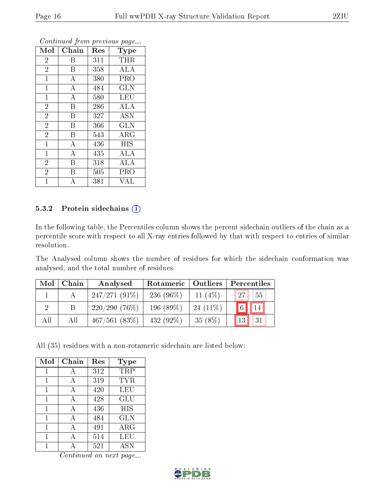| Mol            | Chain              | Res | Type                                        |
|----------------|--------------------|-----|---------------------------------------------|
| $\overline{2}$ | Β                  | 311 | <b>THR</b>                                  |
| $\overline{2}$ | B                  | 358 | <b>ALA</b>                                  |
| $\overline{1}$ | $\overline{\rm A}$ | 380 | PRO                                         |
| $\mathbf{1}$   | $\bf{A}$           | 484 | <b>GLN</b>                                  |
| $\mathbf{1}$   | $\overline{\rm A}$ | 580 | $\overline{\text{LEU}}$                     |
| $\overline{2}$ | B                  | 286 | <b>ALA</b>                                  |
| $\overline{2}$ | B                  | 327 | <b>ASN</b>                                  |
| $\overline{2}$ | B                  | 366 | <b>GLN</b>                                  |
| $\overline{2}$ | B                  | 543 | $\rm{ARG}$                                  |
| $\overline{1}$ | $\boldsymbol{A}$   | 436 | <b>HIS</b>                                  |
| $\mathbf{1}$   | $\bf{A}$           | 435 | $\rm{ALA}$                                  |
| $\overline{2}$ | B                  | 318 | $\overline{\mathrm{A}}\mathrm{L}\mathrm{A}$ |
| $\overline{2}$ | B                  | 505 | PRO                                         |
| $\mathbf{1}$   | А                  | 381 | VAL                                         |

### 5.3.2 Protein sidechains  $(i)$

In the following table, the Percentiles column shows the percent sidechain outliers of the chain as a percentile score with respect to all X-ray entries followed by that with respect to entries of similar resolution.

The Analysed column shows the number of residues for which the sidechain conformation was analysed, and the total number of residues.

| $\operatorname{Mol}$ $\vdash$ | Chain | Analysed        | Rotameric   Outliers |             | Percentiles           |  |
|-------------------------------|-------|-----------------|----------------------|-------------|-----------------------|--|
|                               |       | $247/271(91\%)$ | 236 (96\%)           | $11(4\%)$   | 55<br>27              |  |
|                               |       | $220/290(76\%)$ | 196 $(89\%)$         | $-24(11\%)$ | $\boxed{6}$<br>14     |  |
| All                           | All   | 467/561(83%)    | $432(92\%)$          | $35(8\%)$   | 31<br>13 <sub>1</sub> |  |

All (35) residues with a non-rotameric sidechain are listed below:

| Mol | Chain | Res | Type        |
|-----|-------|-----|-------------|
|     |       | 312 | TRP         |
| 1   | А     | 319 | TYR         |
| 1   | А     | 420 | LEU         |
| 1   | А     | 428 | GLU         |
| 1   | А     | 436 | HIS         |
| 1   | А     | 484 | GLN         |
| 1   |       | 491 | ${\rm ARG}$ |
| 1   | А     | 514 | LEU         |
|     |       | 521 | <b>ASN</b>  |

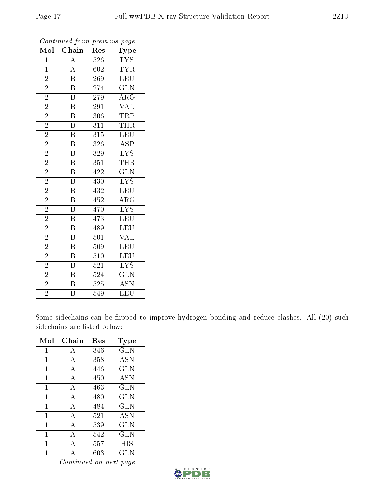| Mol            | Chain                               | Res              | $r \sim 3$<br>Type      |
|----------------|-------------------------------------|------------------|-------------------------|
| $\overline{1}$ |                                     | 526              | $\overline{\text{LYS}}$ |
| $\mathbf{1}$   | $\frac{\overline{A}}{\overline{A}}$ | 602              | $\overline{\text{TYR}}$ |
| $\overline{2}$ | $\overline{\mathbf{B}}$             | $\overline{269}$ | <b>LEU</b>              |
| $\overline{2}$ | $\overline{\mathrm{B}}$             | 274              | $\widetilde{{\rm GLN}}$ |
| $\overline{2}$ | $\overline{\mathrm{B}}$             | 279              | $\overline{\rm{ARG}}$   |
| $\overline{2}$ | $\overline{\mathrm{B}}$             | 291              | $\overline{\text{VAL}}$ |
| $\overline{2}$ | B                                   | 306              | <b>TRP</b>              |
| $\overline{2}$ | $\overline{\mathrm{B}}$             | 311              | THR                     |
| $\overline{2}$ | $\overline{\mathrm{B}}$             | $\overline{315}$ | $\overline{\text{LEU}}$ |
| $\overline{2}$ | $\overline{\mathrm{B}}$             | 326              | $\overline{\text{ASP}}$ |
| $\overline{2}$ | $\overline{\mathrm{B}}$             | 329              | $\overline{\text{LYS}}$ |
| $\overline{2}$ | $\overline{\mathrm{B}}$             | 351              | <b>THR</b>              |
| $\overline{2}$ | $\overline{\mathrm{B}}$             | 422              | $\overline{\text{GLN}}$ |
| $\overline{2}$ | $\overline{\mathrm{B}}$             | 430              | $\overline{\text{LYS}}$ |
| $\overline{2}$ | $\overline{\mathrm{B}}$             | 432              | <b>LEU</b>              |
| $\overline{2}$ | $\overline{\mathbf{B}}$             | 452              | ARG                     |
| $\overline{2}$ | $\overline{\mathrm{B}}$             | 470              | $\overline{\text{LYS}}$ |
| $\overline{2}$ | $\overline{\mathrm{B}}$             | 473              | LEU                     |
| $\overline{2}$ | B                                   | 489              | LEU                     |
| $\overline{2}$ | $\overline{\mathrm{B}}$             | 501              | <b>VAL</b>              |
| $\overline{2}$ | $\overline{\mathrm{B}}$             | 509              | LEU                     |
| $\overline{2}$ | $\overline{\mathrm{B}}$             | 510              | $\overline{\text{LEU}}$ |
| $\overline{2}$ | $\overline{\mathrm{B}}$             | 521              | $\overline{\text{LYS}}$ |
| $\overline{2}$ | $\overline{\mathrm{B}}$             | 524              | $\overline{\text{GLN}}$ |
| $\frac{2}{2}$  | $\overline{\mathrm{B}}$             | 525              | <b>ASN</b>              |
|                | $\overline{\mathrm{B}}$             | 549              | $\overline{\text{LEU}}$ |

Some sidechains can be flipped to improve hydrogen bonding and reduce clashes. All (20) such sidechains are listed below:

| Mol         | Chain | Res | Type       |
|-------------|-------|-----|------------|
| 1           | А     | 346 | GLN        |
| 1           | А     | 358 | <b>ASN</b> |
| 1           | А     | 446 | <b>GLN</b> |
| 1           | A     | 450 | <b>ASN</b> |
| 1           | А     | 463 | <b>GLN</b> |
| 1           | A     | 480 | GLN        |
| 1           | А     | 484 | GLN        |
| 1           | А     | 521 | <b>ASN</b> |
| $\mathbf 1$ | А     | 539 | GLN        |
| 1           | А     | 542 | <b>GLN</b> |
| 1           | А     | 557 | HIS        |
|             |       | 603 | GLN        |

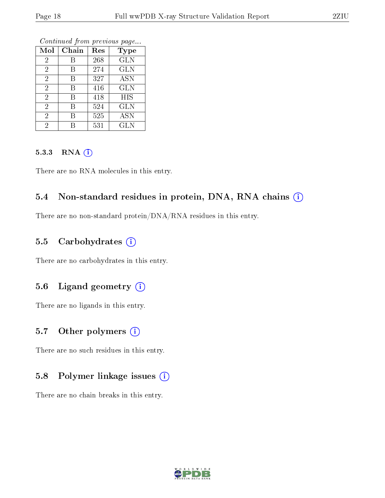| Mol            | Chain | Res | <b>Type</b>           |
|----------------|-------|-----|-----------------------|
| $\overline{2}$ | В     | 268 | <b>GLN</b>            |
| $\overline{2}$ | В     | 274 | <b>GLN</b>            |
| $\overline{2}$ | В     | 327 | $\overline{\rm{ASN}}$ |
| $\overline{2}$ | В     | 416 | <b>GLN</b>            |
| $\overline{2}$ | В     | 418 | <b>HIS</b>            |
| $\overline{2}$ | В     | 524 | <b>GLN</b>            |
| $\overline{2}$ | В     | 525 | ĀSN                   |
| 2              |       | 531 | <b>GLN</b>            |

Continued from previous page...

#### 5.3.3 RNA (1)

There are no RNA molecules in this entry.

### 5.4 Non-standard residues in protein, DNA, RNA chains (i)

There are no non-standard protein/DNA/RNA residues in this entry.

### 5.5 Carbohydrates (i)

There are no carbohydrates in this entry.

### 5.6 Ligand geometry (i)

There are no ligands in this entry.

### 5.7 [O](https://www.wwpdb.org/validation/2017/XrayValidationReportHelp#nonstandard_residues_and_ligands)ther polymers  $(i)$

There are no such residues in this entry.

### 5.8 Polymer linkage issues  $(i)$

There are no chain breaks in this entry.

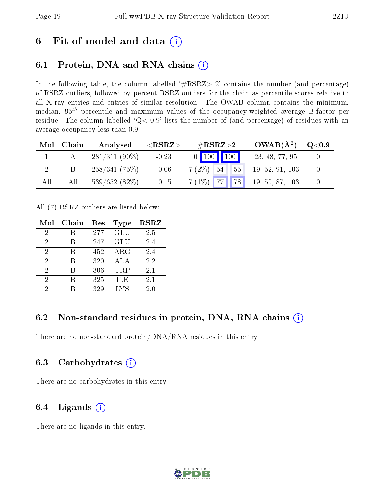# 6 Fit of model and data  $(i)$

# 6.1 Protein, DNA and RNA chains  $(i)$

In the following table, the column labelled  $#RSRZ> 2'$  contains the number (and percentage) of RSRZ outliers, followed by percent RSRZ outliers for the chain as percentile scores relative to all X-ray entries and entries of similar resolution. The OWAB column contains the minimum, median,  $95<sup>th</sup>$  percentile and maximum values of the occupancy-weighted average B-factor per residue. The column labelled ' $Q< 0.9$ ' lists the number of (and percentage) of residues with an average occupancy less than 0.9.

| Mol | Chain | Analysed        | ${ <\hspace{-1.5pt}{\mathrm{RSRZ}} \hspace{-1.5pt}>}$ | $\#\text{RSRZ}{>}2$            | $OWAB(A^2)$     | $\mid \text{Q} {<} 0.9 \mid$ |
|-----|-------|-----------------|-------------------------------------------------------|--------------------------------|-----------------|------------------------------|
|     |       | $281/311(90\%)$ | $-0.23$                                               | $0$ 100 100                    | 23, 48, 77, 95  |                              |
|     |       | 258/341(75%)    | $-0.06$                                               | $-7(2\%)$ 54<br>55             | 19, 52, 91, 103 |                              |
| All | All   | 539/652(82%)    | $-0.15$                                               | $7(1\%)$ 77 78 19, 50, 87, 103 |                 |                              |

All (7) RSRZ outliers are listed below:

| Mol | Chain | Res | Type       | <b>RSRZ</b> |
|-----|-------|-----|------------|-------------|
| 2   | R     | 277 | GLU        | 2.5         |
| 2   | В     | 247 | GLU        | 2.4         |
| 2   | В     | 452 | ARG        | 2.4         |
| 2   | R     | 320 | ALA        | 2.2         |
| 2   | R     | 306 | TRP        | 2.1         |
| 2   |       | 325 | ILE        | 2.1         |
| 2   |       | 329 | <b>LYS</b> | 2.0         |

# 6.2 Non-standard residues in protein, DNA, RNA chains  $(i)$

There are no non-standard protein/DNA/RNA residues in this entry.

### 6.3 Carbohydrates  $(i)$

There are no carbohydrates in this entry.

# 6.4 Ligands  $(i)$

There are no ligands in this entry.